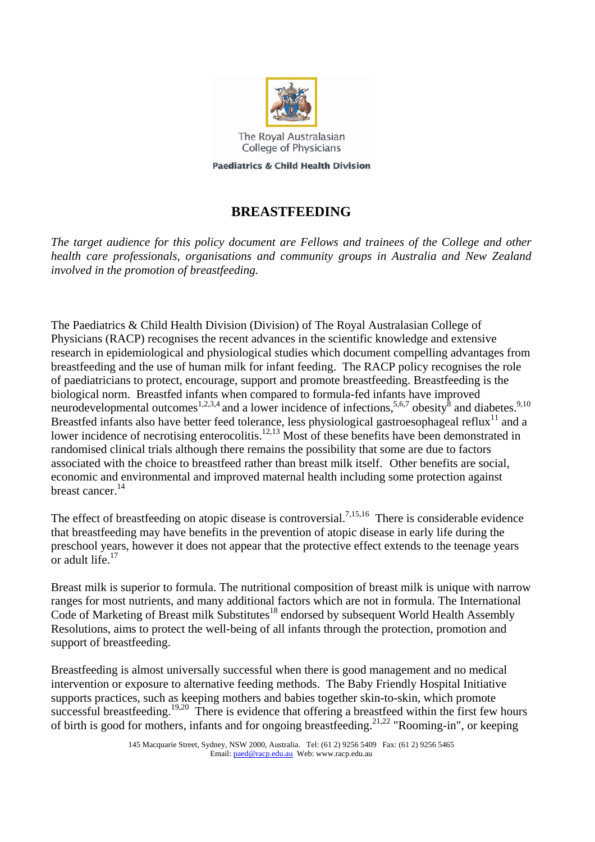

The Royal Australasian College of Physicians

**Paediatrics & Child Health Division** 

## <span id="page-0-1"></span><span id="page-0-0"></span>**BREASTFEEDING**

*The target audience for this policy document are Fellows and trainees of the College and other health care professionals, organisations and community groups in Australia and New Zealand involved in the promotion of breastfeeding.* 

The Paediatrics & Child Health Division (Division) of The Royal Australasian College of Physicians (RACP) recognises the recent advances in the scientific knowledge and extensive research in epidemiological and physiological studies which document compelling advantages from breastfeeding and the use of human milk for infant feeding. The RACP policy recognises the role of paediatricians to protect, encourage, support and promote breastfeeding. Breastfeeding is the biological norm. Breastfed infants when compared to formula-fed infants have improved neurodevelopmental outcomes<sup>[1,](#page-5-0)[2,](#page-5-1)[3,4](#page-5-2)</sup> [a](#page-5-3)nd a lower incidence [o](#page-5-6)f infections,  $5,6,7$  $5,6,7$  obesity  $\delta$  [a](#page-5-7)nd diabetes.<sup>[9,](#page-5-8)[10](#page-5-9)</sup> Breastfed infants also have better feed tolerance, less physiological gastroesophageal reflux<sup>11</sup> and a lower incidence of necrotising enterocolitis.<sup>12,13</sup> Most of these benefits have been demonstrated in randomised clinical trials although there remains the possibility that some are due to factors associated with the choice to breastfeed rather than breast milk itself[. O](#page-0-0)ther benefits are social, economic and environmental and improved maternal health including some protection against breast cancer.<sup>14</sup>

The effect of breastfeeding on atopic disease is controversial.<sup>7,[15,](#page-5-14)16</sup> There is considerable evidence that breastfeeding may have benefits in the prevention of atopic disease in early life during the preschool years, however it does not appear that the protective effect extends to the teenage years or adult life[.17](#page-5-16)

Breast milk is superior to formula. The nutritional composition of breast milk is unique with narrow ranges for most nutrients, and many additional factors which are not in formula. The International Code of Marketing of Breast milk Substitutes<sup>18</sup> endorsed by subsequent World Health Assembly Resolutions, aims to protect the well-being of all infants through the protection, promotion and support of breastfeeding.

Breastfeeding is almost universally successful when there is good management and no medical intervention or exposure to alternative feeding methods. The Baby Friendly Hospital Initiative supports practices, such as keeping mothers and babies together skin-to-skin, which promote successful breastfeeding.<sup>[19,](#page-5-18)20</sup> There is evidence that offering a breastfeed within the first few hours of birth is good for mothers, infants and for ongoing breastfeeding.<sup>[21,](#page-5-20)22</sup> "Rooming-in", or keeping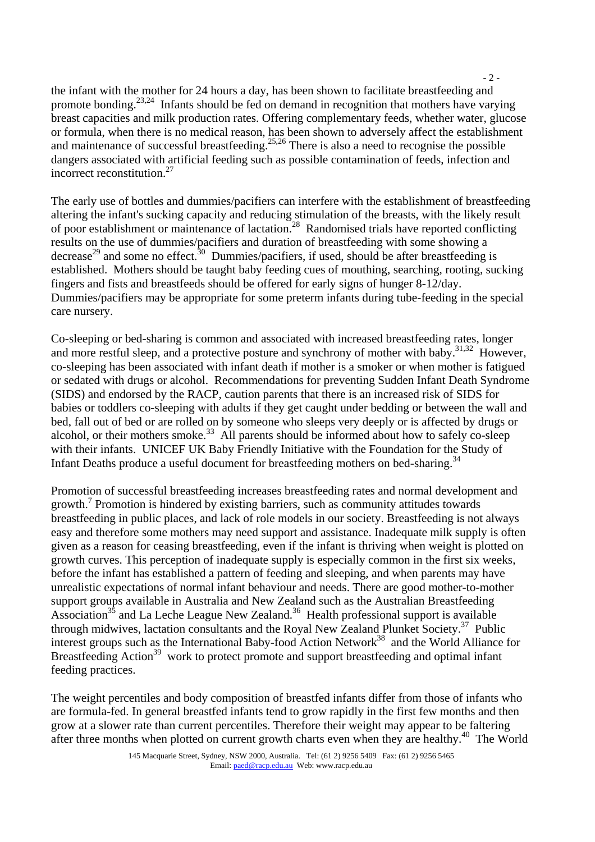the infant with the mother for 24 hours a day, has been shown to facilitate breastfeeding and promote bonding.<sup>[23,](#page-5-22)24</sup> Infants should be fed on demand in recognition that mothers have varying breast capacities and milk production rates. Offering complementary feeds, whether water, glucose or formula, when there is no medical reason, has been shown to adversely affect the establishment and maintenance of successful breastfeeding.<sup>[25,](#page-5-24)26</sup> There is also a need to recognise the possible dangers associated with artificial feeding such as possible contamination of feeds, infection and incorrect reconstitution.[27](#page-5-26)

 $-2$  -

The early use of bottles and dummies/pacifiers can interfere with the establishment of breastfeeding altering the infant's sucking capacity and reducing stimulation of the breasts, with the likely result of poor establishment or maintenance of lactation.<sup>28</sup> Randomised trials have reported conflicting results on the use of dummies/pacifiers and duration of breastfeeding with some showing a decrease<sup>29</sup> and some no effect.<sup>30</sup> Dummies/pacifiers, if used, should be after breastfeeding is established. Mothers should be taught baby feeding cues of mouthing, searching, rooting, sucking fingers and fists and breastfeeds should be offered for early signs of hunger 8-12/day. Dummies/pacifiers may be appropriate for some preterm infants during tube-feeding in the special care nursery.

Co-sleeping or bed-sharing is common and associated with increased breastfeeding rates, longer and more restful sleep, and a protective posture and synchrony of mother with baby.<sup>31,32</sup> However, co-sleeping has been associated with infant death if mother is a smoker or when mother is fatigued or sedated with drugs or alcohol. Recommendations for preventing Sudden Infant Death Syndrome (SIDS) and endorsed by the RACP, caution parents that there is an increased risk of SIDS for babies or toddlers co-sleeping with adults if they get caught under bedding or between the wall and bed, fall out of bed or are rolled on by someone who sleeps very deeply or is affected by drugs or alcohol, or their mothers smoke.<sup>33</sup> All parents should be informed about how to safely co-sleep with their infants. UNICEF UK Baby Friendly Initiative with the Foundation for the Study of Infant Deaths produce a useful document for breastfeeding mothers on bed-sharing.<sup>[34](#page-5-33)</sup>

Promotion of successful breastfeeding increases breastfeeding rates and normal development and growth.<sup>7</sup> Promotion is hindered by existing barriers, such as community attitudes towards breastfeeding in public places, and lack of role models in our society. Breastfeeding is not always easy and therefore some mothers may need support and assistance. Inadequate milk supply is often given as a reason for ceasing breastfeeding, even if the infant is thriving when weight is plotted on growth curves. This perception of inadequate supply is especially common in the first six weeks, before the infant has established a pattern of feeding and sleeping, and when parents may have unrealistic expectations of normal infant behaviour and needs. There are good mother-to-mother support groups available in Australia and New Zealand such as the Australian Breastfeeding Association<sup>35</sup> and La Leche League New Zealand.<sup>36</sup> Health professional support is available through midwives, lactation consultants and the Royal New Zealand Plunket Society.<sup>37</sup> Public interest groups such as the International Baby-food Action Network<sup>38</sup> and the World Alliance for Breastfeeding Action<sup>39</sup> work to protect promote and support breastfeeding and optimal infant feeding practices.

The weight percentiles and body composition of breastfed infants differ from those of infants who are formula-fed. In general breastfed infants tend to grow rapidly in the first few months and then grow at a slower rate than current percentiles. Therefore their weight may appear to be faltering after three months when plotted on current growth charts even when they are healthy.<sup>40</sup> The World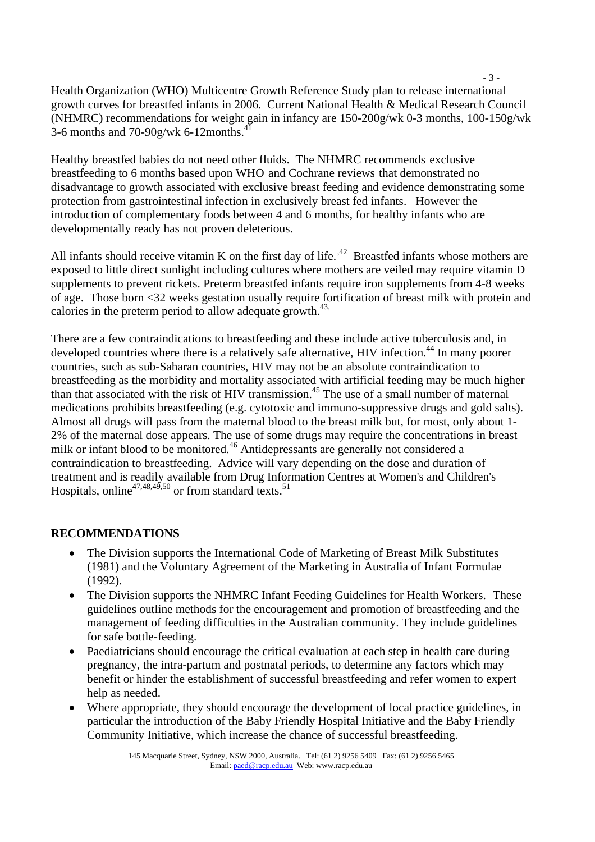$-3 -$ Health Organization (WHO) Multicentre Growth Reference Study plan to release international growth curves for breastfed infants in 2006. Current National Health & Medical Research Council (NHMRC) recommendations for weight gain in infancy are 150-200g/wk 0-3 months, 100-150g/wk 3-6 months and 70-90g/wk 6-12months. $41$ 

<span id="page-2-0"></span>Healthy breastfed babies do not need other fluids. The NHMRC recommend[s ex](#page-2-0)clusive breastfeeding to 6 months based upon WH[O an](#page-2-1)d Cochrane reviews [tha](#page-2-2)t demonstrated no disadvantage to growth associated with exclusive breast feeding and evidence demonstrating some protection from gastrointestinal infection in exclusively breast fed infants. However the introduction of complementary foods between 4 and 6 months, for healthy infants who are developmentally ready has not proven deleterious.

All infants should receive vitamin K on the first day of life.<sup> $42$ </sup> [B](#page-5-41)reastfed infants whose mothers are exposed to little direct sunlight including cultures where mothers are veiled may require vitamin D supplements to prevent rickets. Preterm breastfed infants require iron supplements from 4-8 weeks of age. Those born <32 weeks gestation usually require fortification of breast milk with protein and calories in the preterm period to allow adequate growth.<sup>43,</sup>

<span id="page-2-2"></span><span id="page-2-1"></span>There are a few contraindications to breastfeeding and these include active tuberculosis and, in developed countries where there is a relatively safe alternative, HIV infection.<sup>44</sup> In many poorer countries, such as sub-Saharan countries, HIV may not be an absolute contraindication to breastfeeding as the morbidity and mortality associated with artificial feeding may be much higher than that associated with the risk of HIV transmission.<sup>45</sup> The use of a small number of maternal medications prohibits breastfeeding (e.g. cytotoxic and immuno-suppressive drugs and gold salts). Almost all drugs will pass from the maternal blood to the breast milk but, for most, only about 1- 2% of the maternal dose appears. The use of some drugs may require the concentrations in breast milk or infant blood to be monitored.<sup>46</sup> Antidepressants are generally not considered a contraindication to breastfeeding. Advice will vary depending on the dose and duration of treatment and is readily available from Drug Information Centres at Women's and Children's Hospitals, online<sup>47,48,49,50</sup> or from standard texts.<sup>[51](#page-5-49)</sup>

## **RECOMMENDATIONS**

- The Division supports the International Code of Marketing of Breast Milk Substitutes (1981) and the Voluntary Agreement of the Marketing in Australia of Infant Formulae (1992).
- The Division supports the NHMRC Infant Feeding Guidelines for Health Workers[. T](#page-2-0)hese guidelines outline methods for the encouragement and promotion of breastfeeding and the management of feeding difficulties in the Australian community. They include guidelines for safe bottle-feeding.
- Paediatricians should encourage the critical evaluation at each step in health care during pregnancy, the intra-partum and postnatal periods, to determine any factors which may benefit or hinder the establishment of successful breastfeeding and refer women to expert help as needed.
- Where appropriate, they should encourage the development of local practice guidelines, in particular the introduction of the Baby Friendly Hospital Initiative and the Baby Friendly Community Initiative, which increase the chance of successful breastfeeding.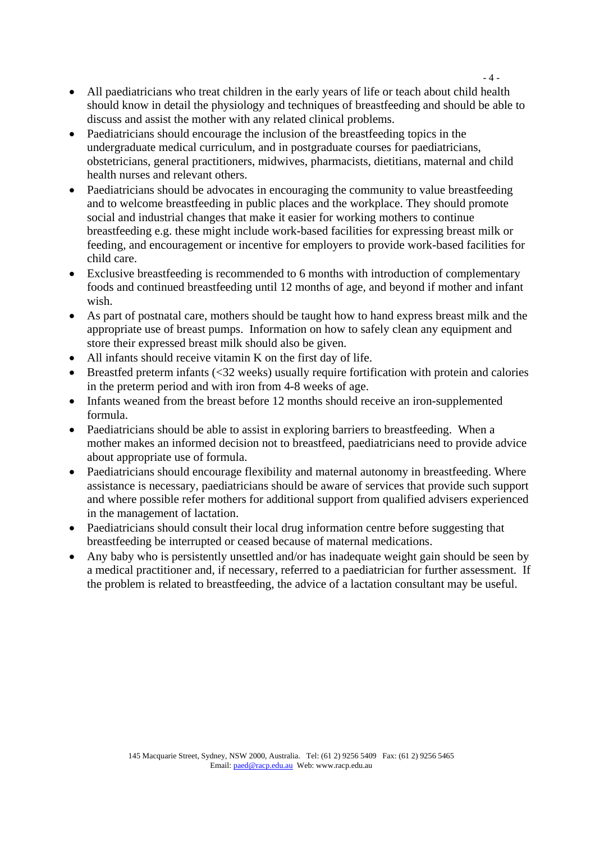- All paediatricians who treat children in the early years of life or teach about child health should know in detail the physiology and techniques of breastfeeding and should be able to discuss and assist the mother with any related clinical problems.
- Paediatricians should encourage the inclusion of the breastfeeding topics in the undergraduate medical curriculum, and in postgraduate courses for paediatricians, obstetricians, general practitioners, midwives, pharmacists, dietitians, maternal and child health nurses and relevant others.
- Paediatricians should be advocates in encouraging the community to value breastfeeding and to welcome breastfeeding in public places and the workplace. They should promote social and industrial changes that make it easier for working mothers to continue breastfeeding e.g. these might include work-based facilities for expressing breast milk or feeding, and encouragement or incentive for employers to provide work-based facilities for child care.
- Exclusive breastfeeding is recommended to 6 months with introduction of complementary foods and continued breastfeeding until 12 months of age, and beyond if mother and infant wish.
- As part of postnatal care, mothers should be taught how to hand express breast milk and the appropriate use of breast pumps. Information on how to safely clean any equipment and store their expressed breast milk should also be given.
- All infants should receive vitamin K on the first day of life.
- Breastfed preterm infants (<32 weeks) usually require fortification with protein and calories in the preterm period and with iron from 4-8 weeks of age.
- Infants weaned from the breast before 12 months should receive an iron-supplemented formula.
- Paediatricians should be able to assist in exploring barriers to breastfeeding. When a mother makes an informed decision not to breastfeed, paediatricians need to provide advice about appropriate use of formula.
- Paediatricians should encourage flexibility and maternal autonomy in breastfeeding. Where assistance is necessary, paediatricians should be aware of services that provide such support and where possible refer mothers for additional support from qualified advisers experienced in the management of lactation.
- Paediatricians should consult their local drug information centre before suggesting that breastfeeding be interrupted or ceased because of maternal medications.
- Any baby who is persistently unsettled and/or has inadequate weight gain should be seen by a medical practitioner and, if necessary, referred to a paediatrician for further assessment. If the problem is related to breastfeeding, the advice of a lactation consultant may be useful.

 $-4$  -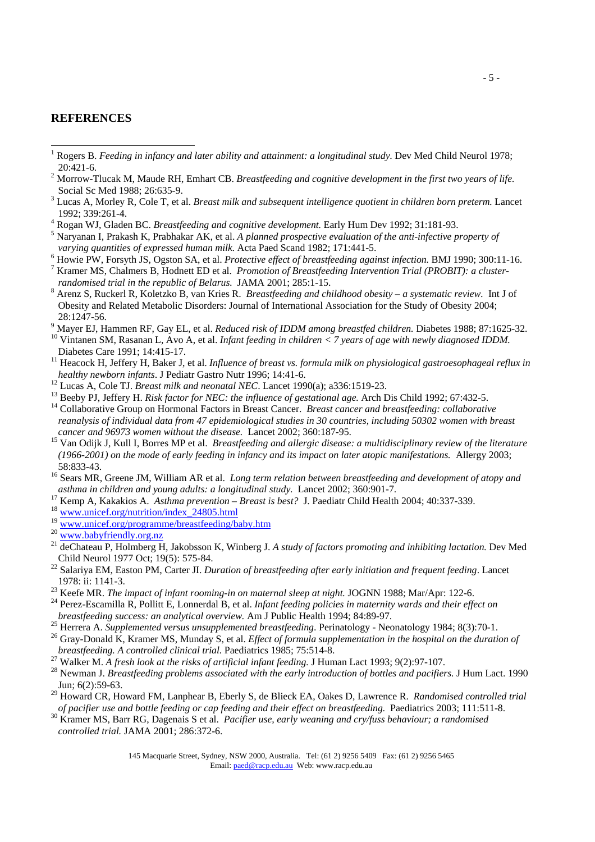## **REFERENCES**

 $\overline{a}$ 

- 1 Rogers B. *Feeding in infancy and later ability and attainment: a longitudinal study*. Dev Med Child Neurol 1978; 20:421-6. 2
- <sup>2</sup> Morrow-Tlucak M, Maude RH, Emhart CB. *Breastfeeding and cognitive development in the first two years of life.* Social Sc Med 1988; 26:635-9.
- Lucas A, Morley R, Cole T, et al. *Breast milk and subsequent intelligence quotient in children born preterm.* Lancet 1992; 339:261-4.
- Rogan WJ, Gladen BC. *Breastfeeding and cognitive development.* Early Hum Dev 1992; 31:181-93. 5
- $<sup>5</sup>$  Naryanan I, Prakash K, Prabhakar AK, et al. *A planned prospective evaluation of the anti-infective property of*</sup> *varying quantities of expressed human milk.* Acta Paed Scand 1982; 171:441-5.
- <sup>6</sup> Howie PW, Forsyth JS, Ogston SA, et al. Protective effect of breastfeeding against infection. BMJ 1990; 300:11-16. <sup>7</sup> Kramer MS, Chalmers B, Hodnett ED et al. *Promotion of Breastfeeding Intervention Trial (PROBIT): a clusterrandomised trial in the republic of Belarus.* JAMA 2001; 285:1-15.
- Arenz S, Ruckerl R, Koletzko B, van Kries R. *Breastfeeding and childhood obesity a systematic review.* Int J of Obesity and Related Metabolic Disorders: Journal of International Association for the Study of Obesity 2004;
- 28:1247-56.<br><sup>9</sup> Maver EJ, Hammen RF, Gay EL, et al. *Reduced risk of IDDM among breastfed children*. Diabetes 1988; 87:1625-32. <sup>10</sup> Vintanen SM, Rasanan L, Avo A, et al. Infant feeding in children < 7 years of age with newly diagnosed IDDM.
- Diabetes Care 1991; 14:415-17.<br><sup>11</sup> Heacock H, Jeffery H, Baker J, et al. *Influence of breast vs. formula milk on physiological gastroesophageal reflux in*<br>*healthy newborn infants*. J Pediatr Gastro Nutr 1996; 14:41-6.
- 
- <sup>12</sup> Lucas A, Cole TJ. *Breast milk and neonatal NEC*. Lancet 1990(a); a336:1519-23.<br><sup>13</sup> Beeby PJ, Jeffery H. *Risk factor for NEC: the influence of gestational age*. Arch Dis Child 1992; 67:432-5.<br><sup>14</sup> Collaborative Gro
- *reanalysis of individual data from 47 epidemiological studies in 30 countries, including 50302 women with breast*
- *cancer and 96973 women without the disease.* Lancet 2002; 360:187-95. 15 Van Odijk J, Kull I, Borres MP et al. *Breastfeeding and allergic disease: a multidisciplinary review of the literature (1966-2001) on the mode of early feeding in infancy and its impact on later atopic manifestations.* Allergy 2003;
- 58:833-43.<br><sup>16</sup> Sears MR, Greene JM, William AR et al. *Long term relation between breastfeeding and development of atopy and*<br>*asthma in children and young adults: a longitudinal study.* Lancet 2002; 360:901-7.
- <sup>17</sup> Kemp A, Kakakios A. *Asthma prevention Breast is best?* J. Paediatr Child Health 2004; 40:337-339.<br><sup>18</sup> www.unicef.org/nutrition/index 24805.html<br><sup>19</sup> www.unicef.org/programme/breastfeeding/baby.htm
- 
- 
- 
- <sup>20</sup> [www.babyfriendly.org.nz](http://www.babyfriendly.org.nz/)<br><sup>21</sup> deChateau P, Holmberg H, Jakobsson K, Winberg J. *A study of factors promoting and inhibiting lactation*. Dev Med Child Neurol 1977 Oct; 19(5): 575-84. 22 Salariya EM, Easton PM, Carter JI. *Duration of breastfeeding after early initiation and frequent feeding*. Lancet
- 1978: ii: 1141-3.<br><sup>23</sup> Keefe MR. *The impact of infant rooming-in on maternal sleep at night.* JOGNN 1988; Mar/Apr: 122-6.<br><sup>24</sup> Perez-Escamilla R, Pollitt E, Lonnerdal B, et al. *Infant feeding policies in maternity wards*
- 
- 
- 
- breastfeeding success: an analytical overview. Am J Public Health 1994; 84:89-97.<br><sup>25</sup> Herrera A. Supplemented versus unsupplemented breastfeeding. Perinatology Neonatology 1984; 8(3):70-1.<br><sup>26</sup> Gray-Donald K, Kramer MS,
- 
- <sup>27</sup> Walker M. A fresh look at the risks of artificial infant feeding. J Human Lact 1993; 9(2):97-107.<br><sup>28</sup> Newman J. Breastfeeding problems associated with the early introduction of bottles and pacifiers. J Hum Lact. 199 Jun; 6(2):59-63.
- <sup>29</sup> Howard CR, Howard FM, Lanphear B, Eberly S, de Blieck EA, Oakes D, Lawrence R. *Randomised controlled trial of pacifier use and bottle feeding or cap feeding and their effect on breastfeeding. Paediatrics 2003; 111:51*
- $^{30}$  Kramer MS, Barr RG, Dagenais S et al. *Pacifier use, early weaning and cry/fuss behaviour; a randomised controlled trial.* JAMA 2001; 286:372-6.